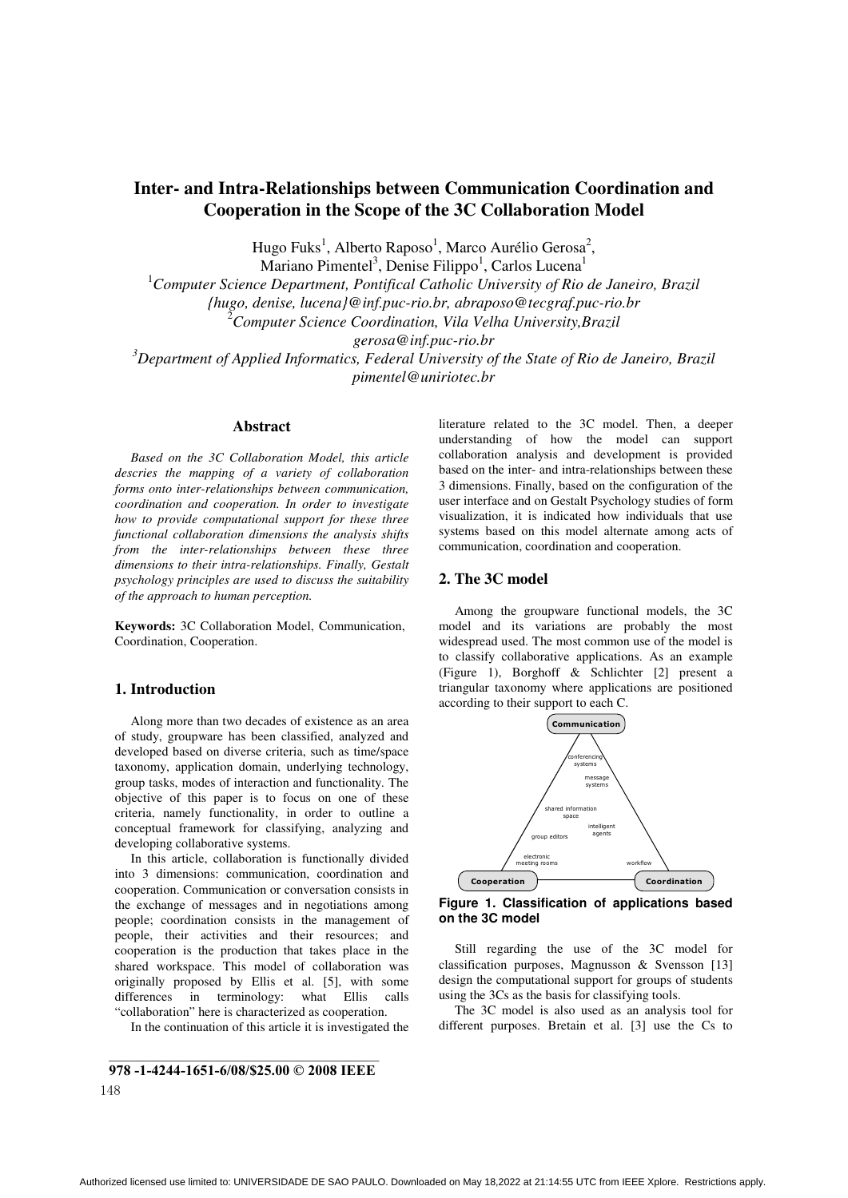# **Inter- and Intra-Relationships between Communication Coordination and Cooperation in the Scope of the 3C Collaboration Model**

Hugo Fuks<sup>1</sup>, Alberto Raposo<sup>1</sup>, Marco Aurélio Gerosa<sup>2</sup>,

Mariano Pimentel<sup>3</sup>, Denise Filippo<sup>1</sup>, Carlos Lucena<sup>1</sup>

1 *Computer Science Department, Pontifical Catholic University of Rio de Janeiro, Brazil* 

*{hugo, denise, lucena}@inf.puc-rio.br, abraposo@tecgraf.puc-rio.br* 

2 *Computer Science Coordination, Vila Velha University,Brazil* 

*gerosa@inf.puc-rio.br* 

*3 Department of Applied Informatics, Federal University of the State of Rio de Janeiro, Brazil pimentel@uniriotec.br* 

#### **Abstract**

*Based on the 3C Collaboration Model, this article descries the mapping of a variety of collaboration forms onto inter-relationships between communication, coordination and cooperation. In order to investigate how to provide computational support for these three functional collaboration dimensions the analysis shifts from the inter-relationships between these three dimensions to their intra-relationships. Finally, Gestalt psychology principles are used to discuss the suitability of the approach to human perception.* 

**Keywords:** 3C Collaboration Model, Communication, Coordination, Cooperation.

#### **1. Introduction**

Along more than two decades of existence as an area of study, groupware has been classified, analyzed and developed based on diverse criteria, such as time/space taxonomy, application domain, underlying technology, group tasks, modes of interaction and functionality. The objective of this paper is to focus on one of these criteria, namely functionality, in order to outline a conceptual framework for classifying, analyzing and developing collaborative systems.

In this article, collaboration is functionally divided into 3 dimensions: communication, coordination and cooperation. Communication or conversation consists in the exchange of messages and in negotiations among people; coordination consists in the management of people, their activities and their resources; and cooperation is the production that takes place in the shared workspace. This model of collaboration was originally proposed by Ellis et al. [5], with some differences in terminology: what Ellis calls "collaboration" here is characterized as cooperation.

In the continuation of this article it is investigated the

**978 -1-4244-1651-6/08/\$25.00 © 2008 IEEE**

literature related to the 3C model. Then, a deeper understanding of how the model can support collaboration analysis and development is provided based on the inter- and intra-relationships between these 3 dimensions. Finally, based on the configuration of the user interface and on Gestalt Psychology studies of form visualization, it is indicated how individuals that use systems based on this model alternate among acts of communication, coordination and cooperation.

### **2. The 3C model**

Among the groupware functional models, the 3C model and its variations are probably the most widespread used. The most common use of the model is to classify collaborative applications. As an example (Figure 1), Borghoff & Schlichter [2] present a triangular taxonomy where applications are positioned according to their support to each C.



**Figure 1. Classification of applications based on the 3C model** 

Still regarding the use of the 3C model for classification purposes, Magnusson & Svensson [13] design the computational support for groups of students using the 3Cs as the basis for classifying tools.

The 3C model is also used as an analysis tool for different purposes. Bretain et al. [3] use the Cs to

148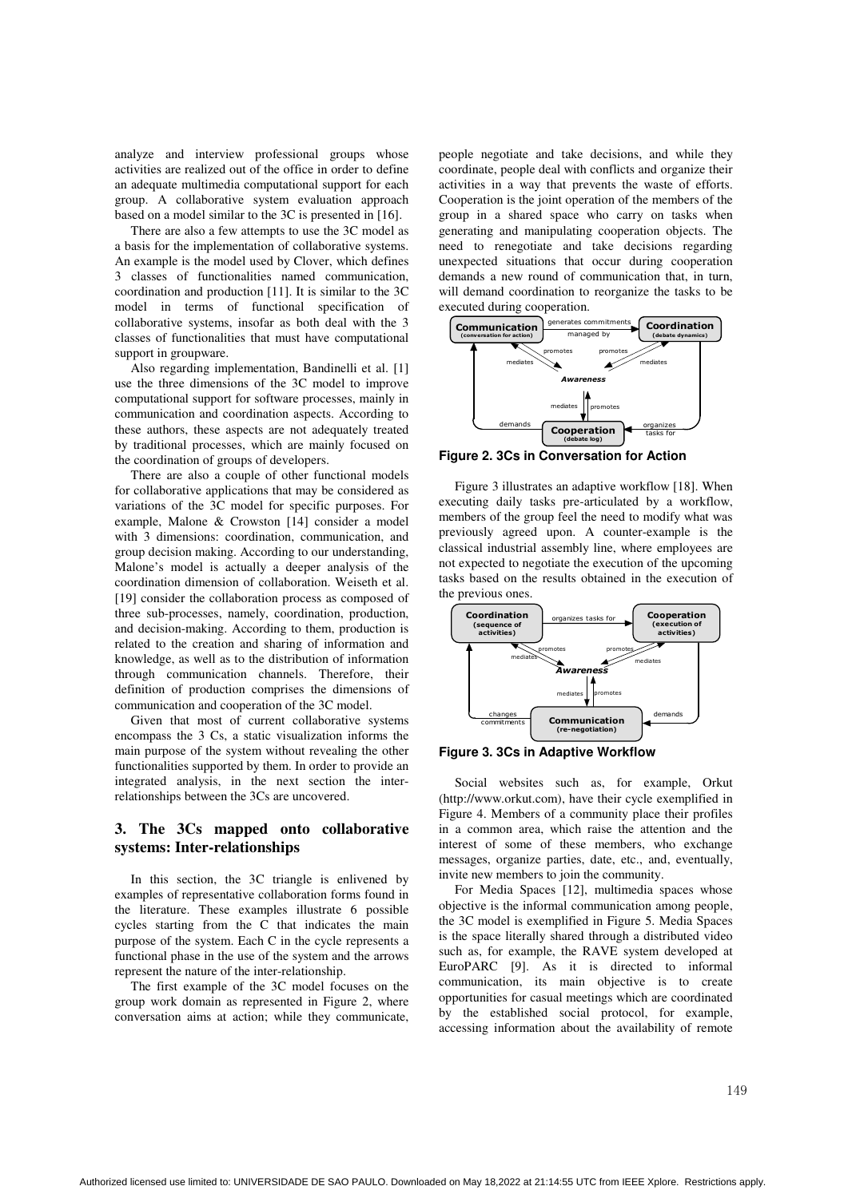analyze and interview professional groups whose activities are realized out of the office in order to define an adequate multimedia computational support for each group. A collaborative system evaluation approach based on a model similar to the 3C is presented in [16].

There are also a few attempts to use the 3C model as a basis for the implementation of collaborative systems. An example is the model used by Clover, which defines 3 classes of functionalities named communication, coordination and production [11]. It is similar to the 3C model in terms of functional specification of collaborative systems, insofar as both deal with the 3 classes of functionalities that must have computational support in groupware.

Also regarding implementation, Bandinelli et al. [1] use the three dimensions of the 3C model to improve computational support for software processes, mainly in communication and coordination aspects. According to these authors, these aspects are not adequately treated by traditional processes, which are mainly focused on the coordination of groups of developers.

There are also a couple of other functional models for collaborative applications that may be considered as variations of the 3C model for specific purposes. For example, Malone & Crowston [14] consider a model with 3 dimensions: coordination, communication, and group decision making. According to our understanding, Malone's model is actually a deeper analysis of the coordination dimension of collaboration. Weiseth et al. [19] consider the collaboration process as composed of three sub-processes, namely, coordination, production, and decision-making. According to them, production is related to the creation and sharing of information and knowledge, as well as to the distribution of information through communication channels. Therefore, their definition of production comprises the dimensions of communication and cooperation of the 3C model.

Given that most of current collaborative systems encompass the 3 Cs, a static visualization informs the main purpose of the system without revealing the other functionalities supported by them. In order to provide an integrated analysis, in the next section the interrelationships between the 3Cs are uncovered.

# **3. The 3Cs mapped onto collaborative systems: Inter-relationships**

In this section, the 3C triangle is enlivened by examples of representative collaboration forms found in the literature. These examples illustrate 6 possible cycles starting from the C that indicates the main purpose of the system. Each C in the cycle represents a functional phase in the use of the system and the arrows represent the nature of the inter-relationship.

The first example of the 3C model focuses on the group work domain as represented in Figure 2, where conversation aims at action; while they communicate, people negotiate and take decisions, and while they coordinate, people deal with conflicts and organize their activities in a way that prevents the waste of efforts. Cooperation is the joint operation of the members of the group in a shared space who carry on tasks when generating and manipulating cooperation objects. The need to renegotiate and take decisions regarding unexpected situations that occur during cooperation demands a new round of communication that, in turn, will demand coordination to reorganize the tasks to be executed during cooperation.



**Figure 2. 3Cs in Conversation for Action** 

Figure 3 illustrates an adaptive workflow [18]. When executing daily tasks pre-articulated by a workflow, members of the group feel the need to modify what was previously agreed upon. A counter-example is the classical industrial assembly line, where employees are not expected to negotiate the execution of the upcoming tasks based on the results obtained in the execution of the previous ones.



**Figure 3. 3Cs in Adaptive Workflow** 

Social websites such as, for example, Orkut (http://www.orkut.com), have their cycle exemplified in Figure 4. Members of a community place their profiles in a common area, which raise the attention and the interest of some of these members, who exchange messages, organize parties, date, etc., and, eventually, invite new members to join the community.

For Media Spaces [12], multimedia spaces whose objective is the informal communication among people, the 3C model is exemplified in Figure 5. Media Spaces is the space literally shared through a distributed video such as, for example, the RAVE system developed at EuroPARC [9]. As it is directed to informal communication, its main objective is to create opportunities for casual meetings which are coordinated by the established social protocol, for example, accessing information about the availability of remote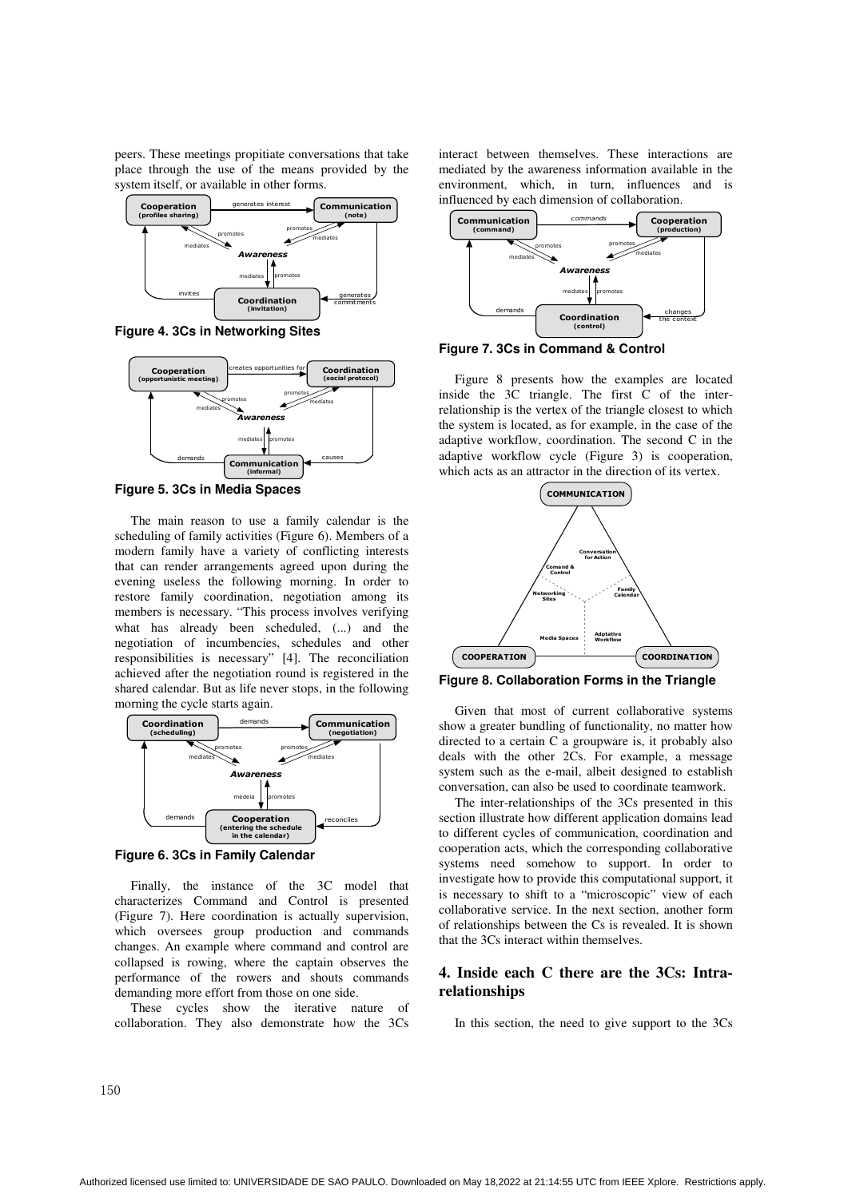peers. These meetings propitiate conversations that take place through the use of the means provided by the system itself, or available in other forms.



**Figure 4. 3Cs in Networking Sites** 



**Figure 5. 3Cs in Media Spaces** 

The main reason to use a family calendar is the scheduling of family activities (Figure 6). Members of a modern family have a variety of conflicting interests that can render arrangements agreed upon during the evening useless the following morning. In order to restore family coordination, negotiation among its members is necessary. "This process involves verifying what has already been scheduled, (...) and the negotiation of incumbencies, schedules and other responsibilities is necessary" [4]. The reconciliation achieved after the negotiation round is registered in the shared calendar. But as life never stops, in the following morning the cycle starts again.



**Figure 6. 3Cs in Family Calendar** 

Finally, the instance of the 3C model that characterizes Command and Control is presented (Figure 7). Here coordination is actually supervision, which oversees group production and commands changes. An example where command and control are collapsed is rowing, where the captain observes the performance of the rowers and shouts commands demanding more effort from those on one side.

These cycles show the iterative nature of collaboration. They also demonstrate how the 3Cs

interact between themselves. These interactions are mediated by the awareness information available in the environment, which, in turn, influences and is influenced by each dimension of collaboration.



**Figure 7. 3Cs in Command & Control** 

Figure 8 presents how the examples are located inside the 3C triangle. The first C of the interrelationship is the vertex of the triangle closest to which the system is located, as for example, in the case of the adaptive workflow, coordination. The second C in the adaptive workflow cycle (Figure 3) is cooperation, which acts as an attractor in the direction of its vertex.



**Figure 8. Collaboration Forms in the Triangle** 

Given that most of current collaborative systems show a greater bundling of functionality, no matter how directed to a certain C a groupware is, it probably also deals with the other 2Cs. For example, a message system such as the e-mail, albeit designed to establish conversation, can also be used to coordinate teamwork.

The inter-relationships of the 3Cs presented in this section illustrate how different application domains lead to different cycles of communication, coordination and cooperation acts, which the corresponding collaborative systems need somehow to support. In order to investigate how to provide this computational support, it is necessary to shift to a "microscopic" view of each collaborative service. In the next section, another form of relationships between the Cs is revealed. It is shown that the 3Cs interact within themselves.

## **4. Inside each C there are the 3Cs: Intrarelationships**

In this section, the need to give support to the 3Cs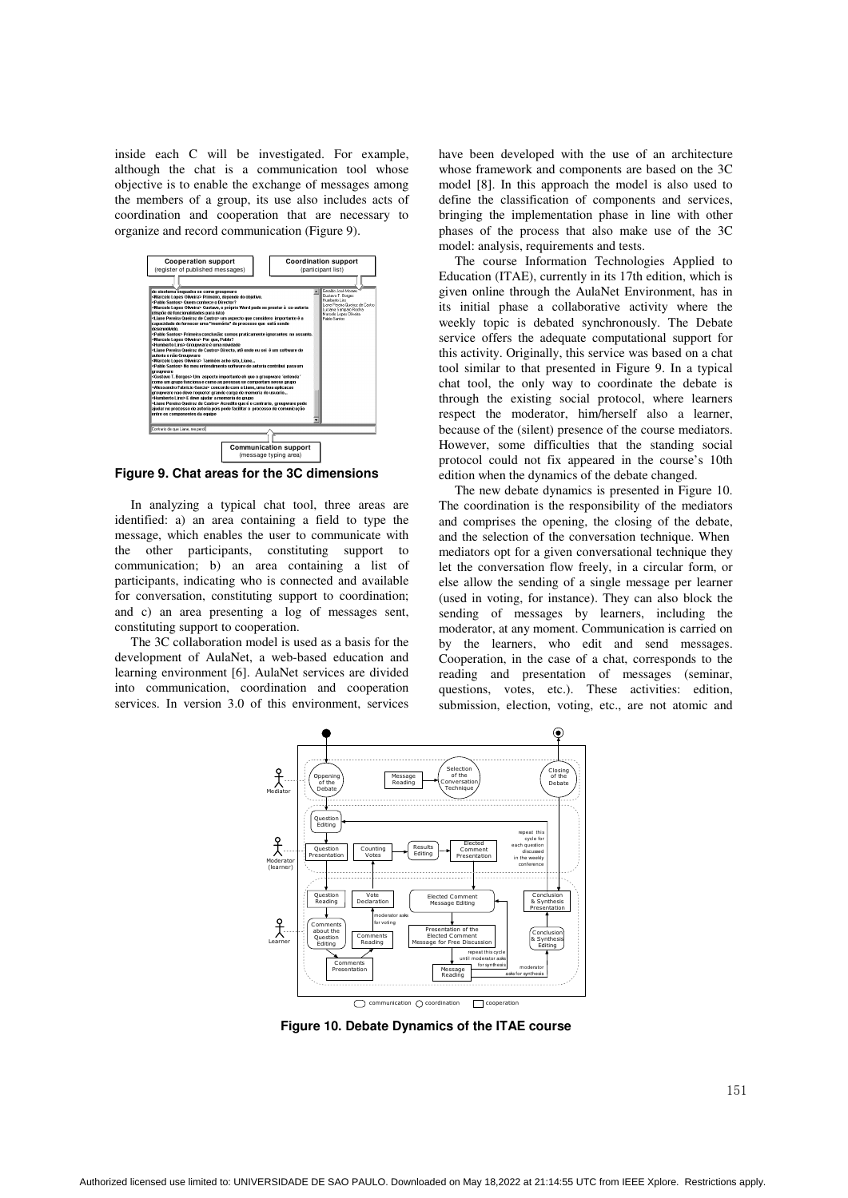inside each C will be investigated. For example, although the chat is a communication tool whose objective is to enable the exchange of messages among the members of a group, its use also includes acts of coordination and cooperation that are necessary to organize and record communication (Figure 9).



**Figure 9. Chat areas for the 3C dimensions** 

In analyzing a typical chat tool, three areas are identified: a) an area containing a field to type the message, which enables the user to communicate with the other participants, constituting support to communication; b) an area containing a list of participants, indicating who is connected and available for conversation, constituting support to coordination; and c) an area presenting a log of messages sent, constituting support to cooperation.

The 3C collaboration model is used as a basis for the development of AulaNet, a web-based education and learning environment [6]. AulaNet services are divided into communication, coordination and cooperation services. In version 3.0 of this environment, services have been developed with the use of an architecture whose framework and components are based on the 3C model [8]. In this approach the model is also used to define the classification of components and services, bringing the implementation phase in line with other phases of the process that also make use of the 3C model: analysis, requirements and tests.

The course Information Technologies Applied to Education (ITAE), currently in its 17th edition, which is given online through the AulaNet Environment, has in its initial phase a collaborative activity where the weekly topic is debated synchronously. The Debate service offers the adequate computational support for this activity. Originally, this service was based on a chat tool similar to that presented in Figure 9. In a typical chat tool, the only way to coordinate the debate is through the existing social protocol, where learners respect the moderator, him/herself also a learner, because of the (silent) presence of the course mediators. However, some difficulties that the standing social protocol could not fix appeared in the course's 10th edition when the dynamics of the debate changed.

The new debate dynamics is presented in Figure 10. The coordination is the responsibility of the mediators and comprises the opening, the closing of the debate, and the selection of the conversation technique. When mediators opt for a given conversational technique they let the conversation flow freely, in a circular form, or else allow the sending of a single message per learner (used in voting, for instance). They can also block the sending of messages by learners, including the moderator, at any moment. Communication is carried on by the learners, who edit and send messages. Cooperation, in the case of a chat, corresponds to the reading and presentation of messages (seminar, questions, votes, etc.). These activities: edition, submission, election, voting, etc., are not atomic and



**Figure 10. Debate Dynamics of the ITAE course**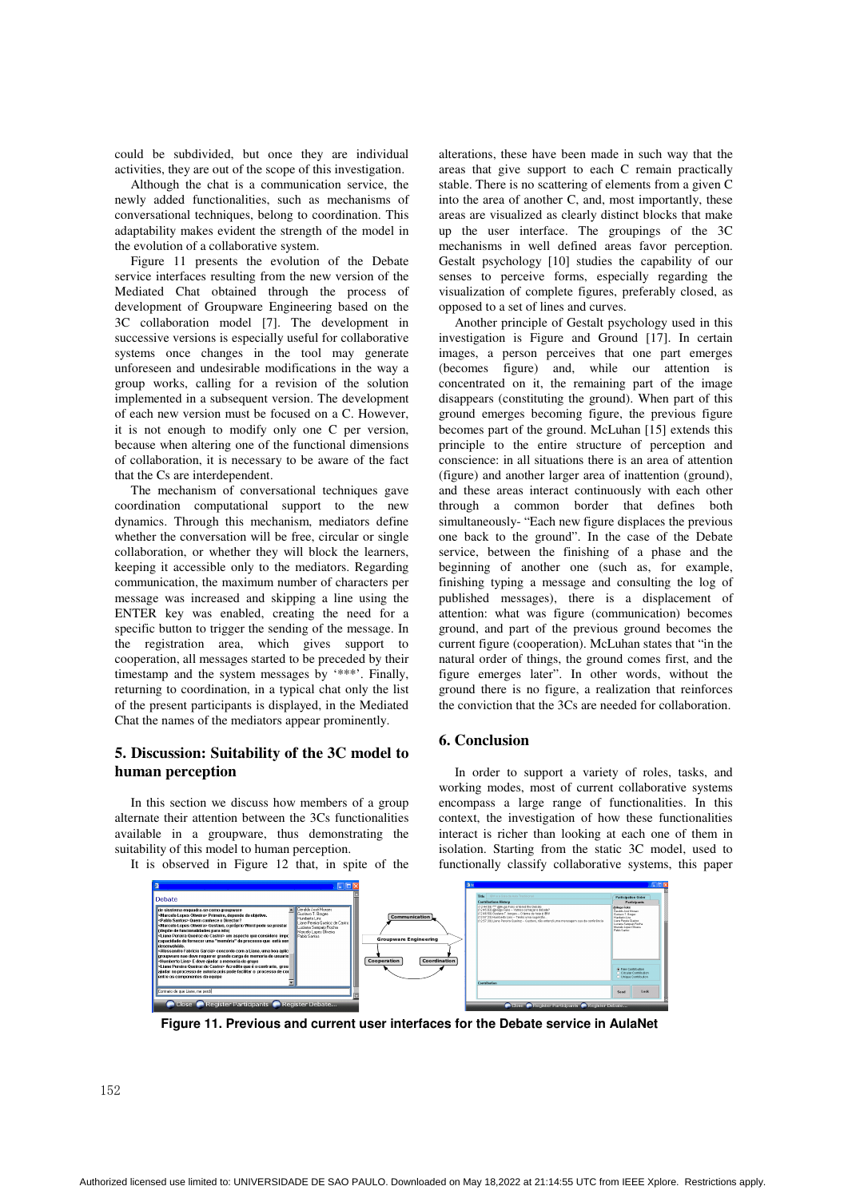could be subdivided, but once they are individual activities, they are out of the scope of this investigation.

Although the chat is a communication service, the newly added functionalities, such as mechanisms of conversational techniques, belong to coordination. This adaptability makes evident the strength of the model in the evolution of a collaborative system.

Figure 11 presents the evolution of the Debate service interfaces resulting from the new version of the Mediated Chat obtained through the process of development of Groupware Engineering based on the 3C collaboration model [7]. The development in successive versions is especially useful for collaborative systems once changes in the tool may generate unforeseen and undesirable modifications in the way a group works, calling for a revision of the solution implemented in a subsequent version. The development of each new version must be focused on a C. However, it is not enough to modify only one C per version, because when altering one of the functional dimensions of collaboration, it is necessary to be aware of the fact that the Cs are interdependent.

The mechanism of conversational techniques gave coordination computational support to the new dynamics. Through this mechanism, mediators define whether the conversation will be free, circular or single collaboration, or whether they will block the learners, keeping it accessible only to the mediators. Regarding communication, the maximum number of characters per message was increased and skipping a line using the ENTER key was enabled, creating the need for a specific button to trigger the sending of the message. In the registration area, which gives support to cooperation, all messages started to be preceded by their timestamp and the system messages by '\*\*\*'. Finally, returning to coordination, in a typical chat only the list of the present participants is displayed, in the Mediated Chat the names of the mediators appear prominently.

# **5. Discussion: Suitability of the 3C model to human perception**

In this section we discuss how members of a group alternate their attention between the 3Cs functionalities available in a groupware, thus demonstrating the suitability of this model to human perception.

It is observed in Figure 12 that, in spite of the

alterations, these have been made in such way that the areas that give support to each C remain practically stable. There is no scattering of elements from a given C into the area of another C, and, most importantly, these areas are visualized as clearly distinct blocks that make up the user interface. The groupings of the 3C mechanisms in well defined areas favor perception. Gestalt psychology [10] studies the capability of our senses to perceive forms, especially regarding the visualization of complete figures, preferably closed, as opposed to a set of lines and curves.

Another principle of Gestalt psychology used in this investigation is Figure and Ground [17]. In certain images, a person perceives that one part emerges (becomes figure) and, while our attention is concentrated on it, the remaining part of the image disappears (constituting the ground). When part of this ground emerges becoming figure, the previous figure becomes part of the ground. McLuhan [15] extends this principle to the entire structure of perception and conscience: in all situations there is an area of attention (figure) and another larger area of inattention (ground), and these areas interact continuously with each other through a common border that defines both simultaneously- "Each new figure displaces the previous one back to the ground". In the case of the Debate service, between the finishing of a phase and the beginning of another one (such as, for example, finishing typing a message and consulting the log of published messages), there is a displacement of attention: what was figure (communication) becomes ground, and part of the previous ground becomes the current figure (cooperation). McLuhan states that "in the natural order of things, the ground comes first, and the figure emerges later". In other words, without the ground there is no figure, a realization that reinforces the conviction that the 3Cs are needed for collaboration.

### **6. Conclusion**

In order to support a variety of roles, tasks, and working modes, most of current collaborative systems encompass a large range of functionalities. In this context, the investigation of how these functionalities interact is richer than looking at each one of them in isolation. Starting from the static 3C model, used to functionally classify collaborative systems, this paper



**Figure 11. Previous and current user interfaces for the Debate service in AulaNet**